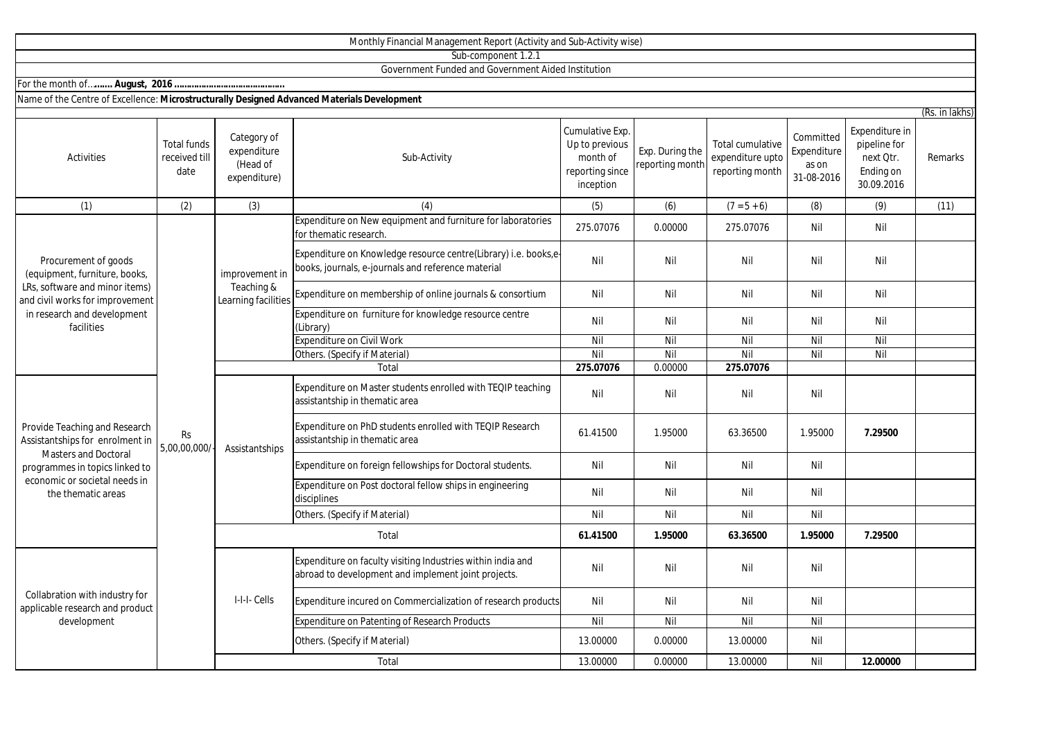|                                                                                                                                                                                          |                                             |                                                        | Sub-component 1.2.1                                                                                                   |                                                                               |                                    |                                                         |                                                 |                                                                        |                |
|------------------------------------------------------------------------------------------------------------------------------------------------------------------------------------------|---------------------------------------------|--------------------------------------------------------|-----------------------------------------------------------------------------------------------------------------------|-------------------------------------------------------------------------------|------------------------------------|---------------------------------------------------------|-------------------------------------------------|------------------------------------------------------------------------|----------------|
|                                                                                                                                                                                          |                                             |                                                        | Government Funded and Government Aided Institution                                                                    |                                                                               |                                    |                                                         |                                                 |                                                                        |                |
|                                                                                                                                                                                          |                                             |                                                        |                                                                                                                       |                                                                               |                                    |                                                         |                                                 |                                                                        |                |
| Name of the Centre of Excellence: Microstructurally Designed Advanced Materials Development                                                                                              |                                             |                                                        |                                                                                                                       |                                                                               |                                    |                                                         |                                                 |                                                                        |                |
|                                                                                                                                                                                          |                                             |                                                        |                                                                                                                       |                                                                               |                                    |                                                         |                                                 |                                                                        | (Rs. in lakhs) |
| Activities                                                                                                                                                                               | <b>Total funds</b><br>received till<br>date | Category of<br>expenditure<br>(Head of<br>expenditure) | Sub-Activity                                                                                                          | Cumulative Exp.<br>Up to previous<br>month of<br>reporting since<br>inception | Exp. During the<br>reporting month | Total cumulative<br>expenditure upto<br>reporting month | Committed<br>Expenditure<br>as on<br>31-08-2016 | Expenditure in<br>pipeline for<br>next Qtr.<br>Ending on<br>30.09.2016 | Remarks        |
| (1)                                                                                                                                                                                      | (2)                                         | (3)                                                    | (4)                                                                                                                   | (5)                                                                           | (6)                                | $(7 = 5 + 6)$                                           | (8)                                             | (9)                                                                    | (11)           |
| Procurement of goods<br>(equipment, furniture, books,<br>LRs, software and minor items)<br>and civil works for improvement<br>in research and development<br>facilities                  | Rs<br>5,00,00,000/                          | improvement in<br>Teaching &<br>Learning facilities    | Expenditure on New equipment and furniture for laboratories<br>for thematic research.                                 | 275.07076                                                                     | 0.00000                            | 275.07076                                               | Nil                                             | Nil                                                                    |                |
|                                                                                                                                                                                          |                                             |                                                        | Expenditure on Knowledge resource centre(Library) i.e. books,e-<br>books, journals, e-journals and reference material | Nil                                                                           | Nil                                | Nil                                                     | Nil                                             | Nil                                                                    |                |
|                                                                                                                                                                                          |                                             |                                                        | Expenditure on membership of online journals & consortium                                                             | Nil                                                                           | Nil                                | Nil                                                     | Nil                                             | Nil                                                                    |                |
|                                                                                                                                                                                          |                                             |                                                        | Expenditure on furniture for knowledge resource centre<br>(Library)                                                   | Nil                                                                           | Nil                                | Nil                                                     | Nil                                             | Nil                                                                    |                |
|                                                                                                                                                                                          |                                             |                                                        | <b>Expenditure on Civil Work</b>                                                                                      | Nil                                                                           | Nil                                | Nil                                                     | Nil                                             | Nil                                                                    |                |
|                                                                                                                                                                                          |                                             |                                                        | Others. (Specify if Material)                                                                                         | Nil                                                                           | Nil                                | Nil                                                     | Nil                                             | Nil                                                                    |                |
|                                                                                                                                                                                          |                                             |                                                        | Total                                                                                                                 | 275.07076                                                                     | 0.00000                            | 275.07076                                               |                                                 |                                                                        |                |
| Provide Teaching and Research<br>Assistantships for enrolment in<br><b>Masters and Doctoral</b><br>programmes in topics linked to<br>economic or societal needs in<br>the thematic areas |                                             | Assistantships                                         | Expenditure on Master students enrolled with TEQIP teaching<br>assistantship in thematic area                         | Nil                                                                           | Nil                                | Nil                                                     | Nil                                             |                                                                        |                |
|                                                                                                                                                                                          |                                             |                                                        | Expenditure on PhD students enrolled with TEQIP Research<br>assistantship in thematic area                            | 61.41500                                                                      | 1.95000                            | 63.36500                                                | 1.95000                                         | 7.29500                                                                |                |
|                                                                                                                                                                                          |                                             |                                                        | Expenditure on foreign fellowships for Doctoral students.                                                             | Nil                                                                           | Nil                                | Nil                                                     | Nil                                             |                                                                        |                |
|                                                                                                                                                                                          |                                             |                                                        | Expenditure on Post doctoral fellow ships in engineering<br>disciplines                                               | Nil                                                                           | Nil                                | Nil                                                     | Nil                                             |                                                                        |                |
|                                                                                                                                                                                          |                                             |                                                        | Others. (Specify if Material)                                                                                         | Nil                                                                           | Nil                                | Nil                                                     | Nil                                             |                                                                        |                |
|                                                                                                                                                                                          |                                             | Total                                                  |                                                                                                                       | 61.41500                                                                      | 1.95000                            | 63.36500                                                | 1.95000                                         | 7.29500                                                                |                |
| Collabration with industry for<br>applicable research and product<br>development                                                                                                         |                                             | I-I-I- Cells                                           | Expenditure on faculty visiting Industries within india and<br>abroad to development and implement joint projects.    | Nil                                                                           | Nil                                | Nil                                                     | Nil                                             |                                                                        |                |
|                                                                                                                                                                                          |                                             |                                                        | Expenditure incured on Commercialization of research products                                                         | Nil                                                                           | Nil                                | Nil                                                     | Nil                                             |                                                                        |                |
|                                                                                                                                                                                          |                                             |                                                        | <b>Expenditure on Patenting of Research Products</b>                                                                  | Nil                                                                           | Nil                                | Nil                                                     | Nil                                             |                                                                        |                |
|                                                                                                                                                                                          |                                             |                                                        | Others. (Specify if Material)                                                                                         | 13.00000                                                                      | 0.00000                            | 13.00000                                                | Nil                                             |                                                                        |                |
|                                                                                                                                                                                          |                                             |                                                        | Total                                                                                                                 | 13.00000                                                                      | 0.00000                            | 13.00000                                                | Nil                                             | 12.00000                                                               |                |

Monthly Financial Management Report (Activity and Sub-Activity wise)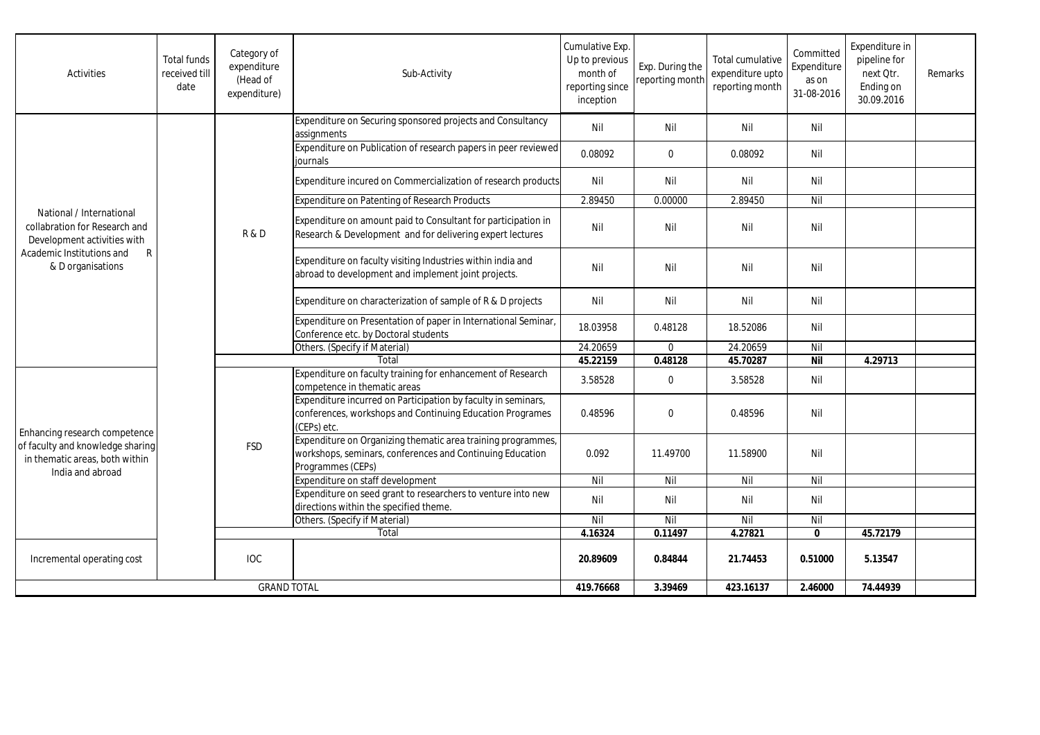| Activities                                                                                                                                                 | <b>Total funds</b><br>received till<br>date | Category of<br>expenditure<br>(Head of<br>expenditure) | Sub-Activity                                                                                                                                   | Cumulative Exp.<br>Up to previous<br>month of<br>reporting since<br>inception | Exp. During the<br>reporting month | Total cumulative<br>expenditure upto<br>reporting month | Committed<br>Expenditure<br>as on<br>31-08-2016 | Expenditure in<br>pipeline for<br>next Otr.<br>Ending on<br>30.09.2016 | Remarks |
|------------------------------------------------------------------------------------------------------------------------------------------------------------|---------------------------------------------|--------------------------------------------------------|------------------------------------------------------------------------------------------------------------------------------------------------|-------------------------------------------------------------------------------|------------------------------------|---------------------------------------------------------|-------------------------------------------------|------------------------------------------------------------------------|---------|
| National / International<br>collabration for Research and<br>Development activities with<br>$\mathsf{R}$<br>Academic Institutions and<br>& D organisations |                                             | <b>R&amp;D</b>                                         | Expenditure on Securing sponsored projects and Consultancy<br>assignments                                                                      | Nil                                                                           | Nil                                | Nil                                                     | Nil                                             |                                                                        |         |
|                                                                                                                                                            |                                             |                                                        | Expenditure on Publication of research papers in peer reviewed<br>journals                                                                     | 0.08092                                                                       | $\mathbf 0$                        | 0.08092                                                 | Nil                                             |                                                                        |         |
|                                                                                                                                                            |                                             |                                                        | Expenditure incured on Commercialization of research products                                                                                  | Nil                                                                           | Nil                                | Nil                                                     | Nil                                             |                                                                        |         |
|                                                                                                                                                            |                                             |                                                        | <b>Expenditure on Patenting of Research Products</b>                                                                                           | 2.89450                                                                       | 0.00000                            | 2.89450                                                 | Nil                                             |                                                                        |         |
|                                                                                                                                                            |                                             |                                                        | Expenditure on amount paid to Consultant for participation in<br>Research & Development and for delivering expert lectures                     | Nil                                                                           | Nil                                | Nil                                                     | Nil                                             |                                                                        |         |
|                                                                                                                                                            |                                             |                                                        | Expenditure on faculty visiting Industries within india and<br>abroad to development and implement joint projects.                             | Nil                                                                           | Nil                                | Nil                                                     | Nil                                             |                                                                        |         |
|                                                                                                                                                            |                                             |                                                        | Expenditure on characterization of sample of R & D projects                                                                                    | Nil                                                                           | Nil                                | Nil                                                     | Nil                                             |                                                                        |         |
|                                                                                                                                                            |                                             |                                                        | Expenditure on Presentation of paper in International Seminar,<br>Conference etc. by Doctoral students                                         | 18.03958                                                                      | 0.48128                            | 18.52086                                                | Nil                                             |                                                                        |         |
|                                                                                                                                                            |                                             |                                                        | Others. (Specify if Material)                                                                                                                  | 24.20659                                                                      | $\mathbf 0$                        | 24.20659                                                | Nil                                             |                                                                        |         |
|                                                                                                                                                            |                                             |                                                        | Total                                                                                                                                          | 45.22159                                                                      | 0.48128                            | 45.70287                                                | <b>Nil</b>                                      | 4.29713                                                                |         |
| Enhancing research competence<br>of faculty and knowledge sharing<br>in thematic areas, both within<br>India and abroad                                    |                                             | <b>FSD</b>                                             | Expenditure on faculty training for enhancement of Research<br>competence in thematic areas                                                    | 3.58528                                                                       | $\mathbf 0$                        | 3.58528                                                 | Nil                                             |                                                                        |         |
|                                                                                                                                                            |                                             |                                                        | Expenditure incurred on Participation by faculty in seminars,<br>conferences, workshops and Continuing Education Programes<br>(CEPs) etc.      | 0.48596                                                                       | $\Omega$                           | 0.48596                                                 | Nil                                             |                                                                        |         |
|                                                                                                                                                            |                                             |                                                        | Expenditure on Organizing thematic area training programmes,<br>workshops, seminars, conferences and Continuing Education<br>Programmes (CEPs) | 0.092                                                                         | 11.49700                           | 11.58900                                                | Nil                                             |                                                                        |         |
|                                                                                                                                                            |                                             |                                                        | Expenditure on staff development                                                                                                               | Nil                                                                           | Nil                                | Nil                                                     | Nil                                             |                                                                        |         |
|                                                                                                                                                            |                                             |                                                        | Expenditure on seed grant to researchers to venture into new<br>directions within the specified theme.                                         | Nil                                                                           | Nil                                | Nil                                                     | Nil                                             |                                                                        |         |
|                                                                                                                                                            |                                             |                                                        | Others. (Specify if Material)                                                                                                                  | Nil                                                                           | Nil                                | Nil                                                     | Nil                                             |                                                                        |         |
|                                                                                                                                                            |                                             | Total                                                  |                                                                                                                                                | 4.16324                                                                       | 0.11497                            | 4.27821                                                 | $\mathbf{0}$                                    | 45.72179                                                               |         |
| Incremental operating cost                                                                                                                                 |                                             | <b>IOC</b>                                             |                                                                                                                                                | 20.89609                                                                      | 0.84844                            | 21.74453                                                | 0.51000                                         | 5.13547                                                                |         |
| <b>GRAND TOTAL</b>                                                                                                                                         |                                             |                                                        | 419.76668                                                                                                                                      | 3.39469                                                                       | 423.16137                          | 2.46000                                                 | 74.44939                                        |                                                                        |         |